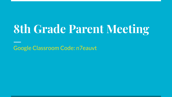# **8th Grade Parent Meeting**

**Google Classroom Code: n7eauvt**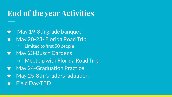### **End of the year Activities**

May 19-8th grade banquet  $\star$  May 20-23- Florida Road Trip ○ Limited to first 50 people ★ May 23-Busch Gardens ○ Meet up with Florida Road Trip ★ May 24-Graduation Practice  $\star$  May 25-8th Grade Graduation **Field Day-TBD**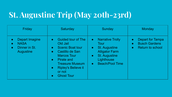## **St. Augustine Trip (May 20th-23rd)**

| Friday                                                                                                    | Saturday                                                                                                                                                                                                                                                                                     | Sunday                                                                                                                                                                                                      | Monday                                                                                                     |
|-----------------------------------------------------------------------------------------------------------|----------------------------------------------------------------------------------------------------------------------------------------------------------------------------------------------------------------------------------------------------------------------------------------------|-------------------------------------------------------------------------------------------------------------------------------------------------------------------------------------------------------------|------------------------------------------------------------------------------------------------------------|
| Depart Imagine<br>$\bullet$<br><b>NASA</b><br>$\bullet$<br>Dinner in St.<br>$\bullet$<br><b>Augustine</b> | <b>Guided tour of The</b><br>$\bullet$<br>Old Jail<br><b>Scenic Boat tour</b><br>$\bullet$<br>Castillo de San<br>$\bullet$<br><b>Marcos Tour</b><br>Pirate and<br>$\bullet$<br><b>Treasure Museum</b><br><b>Ripley's Believe it</b><br>$\bullet$<br>or not<br><b>Ghost Tour</b><br>$\bullet$ | <b>Narrative Trolly</b><br>$\bullet$<br><b>Tour</b><br><b>St. Augustine</b><br>$\bullet$<br><b>Alligator Farm</b><br><b>St. Augustine</b><br>$\bullet$<br>Lighthouse<br><b>Beach/Pool Time</b><br>$\bullet$ | Depart for Tampa<br>$\bullet$<br><b>Busch Gardens</b><br>$\bullet$<br><b>Return to school</b><br>$\bullet$ |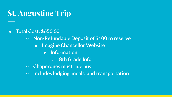#### **St. Augustine Trip**

- **● Total Cost: \$650.00**
	- **○ Non-Refundable Deposit of \$100 to reserve**
		- **■ Imagine Chancellor Website**
			- **● Information**
				- **○ 8th Grade Info**
	- **○ Chaperones must ride bus**
	- **○ Includes lodging, meals, and transportation**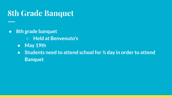#### **8th Grade Banquet**

- **● 8th grade banquet**
	- **○ Held at Benvenuto's**
	- **● May 19th**
	- **● Students need to attend school for ½ day in order to attend Banquet**